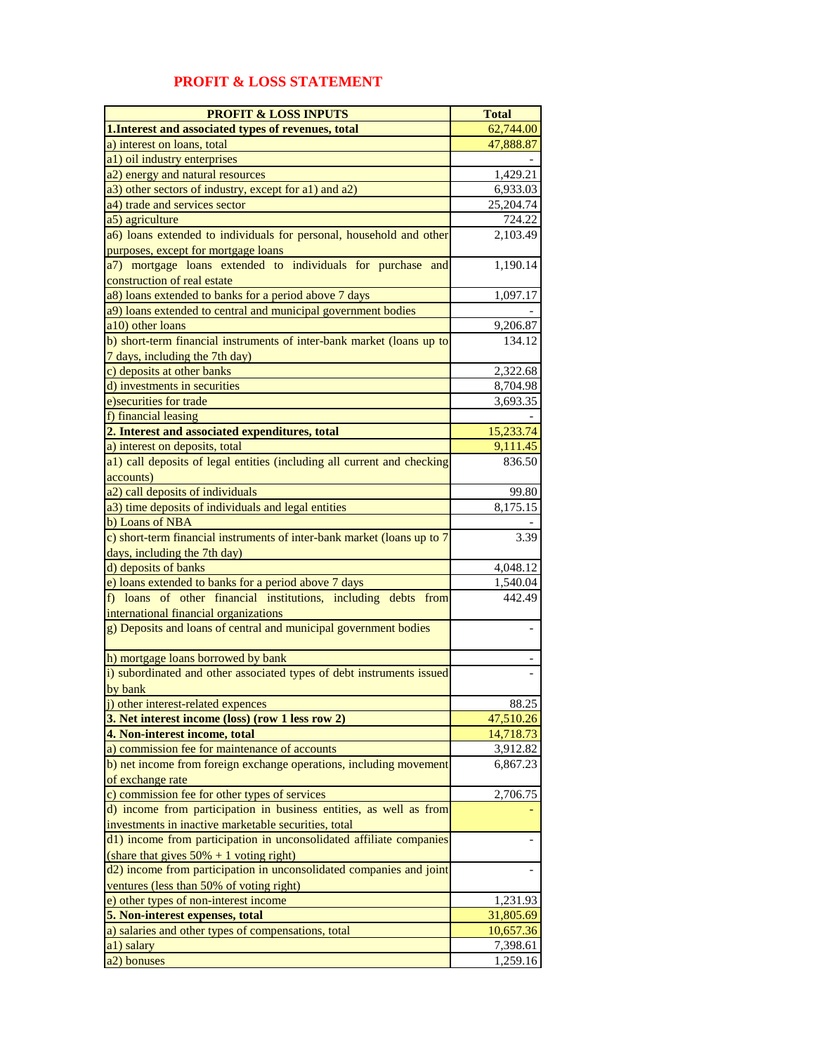| <b>PROFIT &amp; LOSS INPUTS</b>                                                                                   | <b>Total</b>           |
|-------------------------------------------------------------------------------------------------------------------|------------------------|
| 1. Interest and associated types of revenues, total                                                               | 62,744.00              |
| a) interest on loans, total                                                                                       | 47,888.87              |
| a1) oil industry enterprises                                                                                      |                        |
| a2) energy and natural resources                                                                                  | 1,429.21               |
| a3) other sectors of industry, except for a1) and a2)                                                             | 6,933.03               |
| a4) trade and services sector                                                                                     | 25,204.74              |
| a5) agriculture                                                                                                   | 724.22                 |
| a6) loans extended to individuals for personal, household and other<br>purposes, except for mortgage loans        | 2,103.49               |
| a7) mortgage loans extended to individuals for purchase and                                                       | 1,190.14               |
| construction of real estate                                                                                       |                        |
| a8) loans extended to banks for a period above 7 days                                                             | 1,097.17               |
| a9) loans extended to central and municipal government bodies                                                     |                        |
| a10) other loans                                                                                                  | 9,206.87               |
| b) short-term financial instruments of inter-bank market (loans up to<br>7 days, including the 7th day)           | 134.12                 |
| c) deposits at other banks                                                                                        | 2,322.68               |
| d) investments in securities                                                                                      | 8,704.98               |
| e) securities for trade                                                                                           | 3,693.35               |
| f) financial leasing                                                                                              |                        |
| 2. Interest and associated expenditures, total                                                                    | 15,233.74              |
| a) interest on deposits, total                                                                                    | 9,111.45               |
| a1) call deposits of legal entities (including all current and checking<br>accounts)                              | 836.50                 |
| a2) call deposits of individuals                                                                                  | 99.80                  |
| a3) time deposits of individuals and legal entities                                                               | 8,175.15               |
| b) Loans of NBA                                                                                                   |                        |
| c) short-term financial instruments of inter-bank market (loans up to 7                                           | 3.39                   |
| days, including the 7th day)                                                                                      |                        |
| d) deposits of banks                                                                                              | 4,048.12               |
| e) loans extended to banks for a period above 7 days                                                              | 1,540.04               |
| f) loans of other financial institutions, including debts from<br>international financial organizations           | 442.49                 |
| g) Deposits and loans of central and municipal government bodies                                                  |                        |
|                                                                                                                   |                        |
| h) mortgage loans borrowed by bank                                                                                |                        |
| i) subordinated and other associated types of debt instruments issued<br>by bank                                  |                        |
| j) other interest-related expences                                                                                | 88.25                  |
| 3. Net interest income (loss) (row 1 less row 2)                                                                  | 47,510.26              |
| 4. Non-interest income, total                                                                                     | 14,718.73              |
| a) commission fee for maintenance of accounts                                                                     | 3,912.82               |
| b) net income from foreign exchange operations, including movement<br>of exchange rate                            | 6,867.23               |
| c) commission fee for other types of services                                                                     | 2,706.75               |
| d) income from participation in business entities, as well as from                                                |                        |
| investments in inactive marketable securities, total                                                              |                        |
| d1) income from participation in unconsolidated affiliate companies<br>(share that gives $50\% + 1$ voting right) |                        |
| d2) income from participation in unconsolidated companies and joint                                               |                        |
| ventures (less than 50% of voting right)                                                                          |                        |
| e) other types of non-interest income                                                                             | 1,231.93               |
| 5. Non-interest expenses, total<br>a) salaries and other types of compensations, total                            | 31,805.69<br>10,657.36 |
| a1) salary                                                                                                        | 7,398.61               |
| a2) bonuses                                                                                                       | 1,259.16               |

## **PROFIT & LOSS STATEMENT**